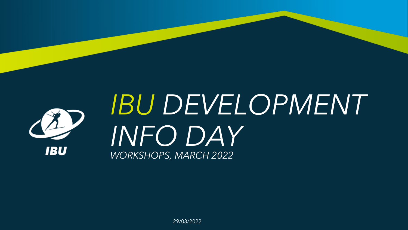

# *IBU DEVELOPMENT INFO DAY WORKSHOPS, MARCH 2022*

29/03/2022

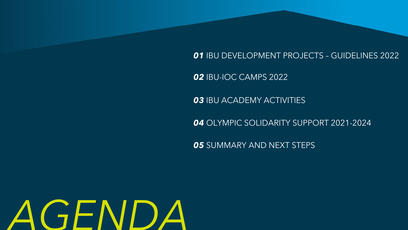IBU DEVELOPMENT PROJECTS – GUIDELINES 2022

IBU ACADEMY ACTIVITIES

IBU-IOC CAMPS 2022

OLYMPIC SOLIDARITY SUPPORT 2021-2024

SUMMARY AND NEXT STEPS



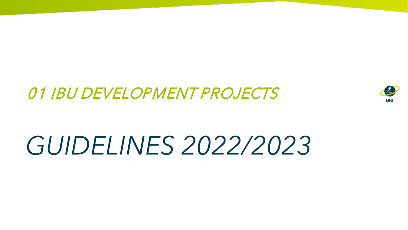# *GUIDELINES 2022/2023*



### 01 IBU DEVELOPMENT PROJECTS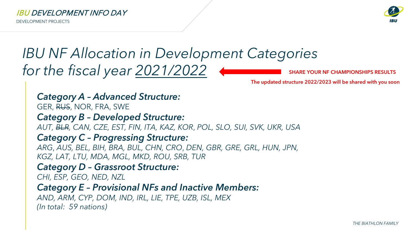*THE BIATHLON FAMILY*



#### IBU DEVELOPMENT INFO DAY

### *IBU NF Allocation in Development Categories for the fiscal year 2021/2022*

DEVELOPMENT PROJECTS

*Category A – Advanced Structure:* GER, RUS, NOR, FRA, SWE *Category B – Developed Structure: AUT, BLR, CAN, CZE, EST, FIN, ITA, KAZ, KOR*, *POL, SLO, SUI, SVK, UKR, USA Category C – Progressing Structure: ARG*, *AUS, BEL, BIH, BRA, BUL, CHN, CRO*, *DEN, GBR, GRE, GRL, HUN, JPN, KGZ, LAT, LTU, MDA, MGL, MKD, ROU, SRB, TUR Category D – Grassroot Structure: CHI, ESP, GEO, NED, NZL Category E – Provisional NFs and Inactive Members: AND, ARM, CYP, DOM, IND, IRL, LIE, TPE, UZB, ISL, MEX (In total: 59 nations)*

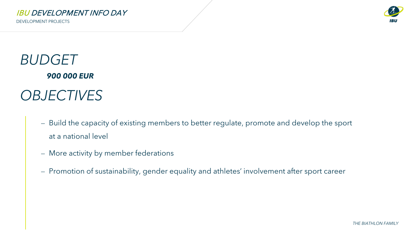*THE BIATHLON FAMILY*



IBU DEVELOPMENT INFO DAY

DEVELOPMENT PROJECTS

### *BUDGET OBJECTIVES 900 000 EUR*

- at a national level
- ⎼ More activity by member federations
- 

- Build the capacity of existing members to better regulate, promote and develop the sport

⎼ Promotion of sustainability, gender equality and athletes' involvement after sport career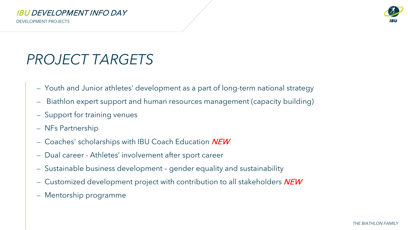

#### IBU DEVELOPMENT INFO DAY

## *PROJECT TARGETS*

DEVELOPMENT PROJECTS

- ⎼ Youth and Junior athletes' development as a part of long-term national strategy
- ⎼ Biathlon expert support and human resources management (capacity building)
- Support for training venues
- ⎼ NFs Partnership
- Coaches' scholarships with IBU Coach Education NEW
- Dual career Athletes' involvement after sport career
- ⎼ Sustainable business development gender equality and sustainability
- Customized development project with contribution to all stakeholders  $NEW$
- ⎼ Mentorship programme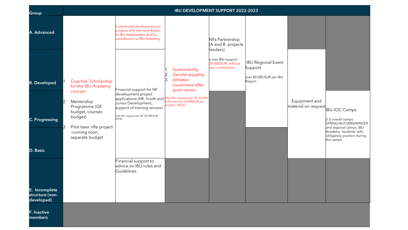| Group                                                           | <b>IBU DEVELOPMENT SUPPORT 2022-2023</b>                                                                                                                                                            |                                                                                                                                                                                                                   |                                                                                                                                            |                                                                      |                                                                          |                                      |                                                                                                                                                            |
|-----------------------------------------------------------------|-----------------------------------------------------------------------------------------------------------------------------------------------------------------------------------------------------|-------------------------------------------------------------------------------------------------------------------------------------------------------------------------------------------------------------------|--------------------------------------------------------------------------------------------------------------------------------------------|----------------------------------------------------------------------|--------------------------------------------------------------------------|--------------------------------------|------------------------------------------------------------------------------------------------------------------------------------------------------------|
| A. Advanced                                                     |                                                                                                                                                                                                     | Customized development co-<br>projects with the contribution<br>to IBU stakeholders and/or<br>contribution to IBU Academy                                                                                         |                                                                                                                                            | NFs Partnership<br>$(A \text{ and } B \text{ projects})$<br>leaders) |                                                                          |                                      |                                                                                                                                                            |
| <b>B. Developed</b><br><b>C. Progressing</b><br><b>D. Basic</b> | 1. Coaches' Scholarship<br>for the IBU Academy<br>courses<br>Mentorship<br>2.<br>Programme (GE<br>budget, courses<br>budget)<br>Pilot laser rifle project<br>З.<br>-coming soon,<br>separate budget | Financial support for NF<br>development project<br>applications (HR, Youth and Max IBU support per NF 20 000<br>Junior Development,<br>support of training venues)<br>max IBU support per NF 20 000 EUR;<br>50/50 | Sustainability,<br>Gender equality,<br>Athletes'<br> 3 <br>involvment after<br>sport career<br>EUR and max 10 000EUR per<br>project; 50/50 | a max IBU support<br>20 000 EUR; without<br>own contribution         | <b>IBU Regional Event</b><br>Support<br>max 80 000 EUR per IBU<br>Region | Equipment and<br>material on request | BU-IOC Camps<br>2-3 overall camps<br>SPRING/AUTUMN/WINTER<br>and regional camps; IBU<br>Academy 'students' with<br>obligatory practice during<br>the camps |
| E. Incomplete<br>structure (non-<br>developed)                  |                                                                                                                                                                                                     | Financial support to<br>advice on IBU rules and<br>Guidelines                                                                                                                                                     |                                                                                                                                            |                                                                      |                                                                          |                                      |                                                                                                                                                            |
| <b>F. Inactive</b><br>members                                   |                                                                                                                                                                                                     |                                                                                                                                                                                                                   |                                                                                                                                            |                                                                      |                                                                          |                                      |                                                                                                                                                            |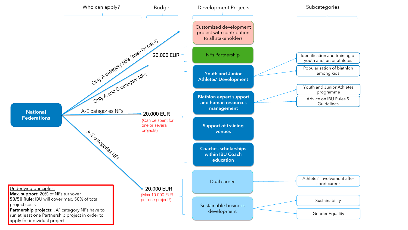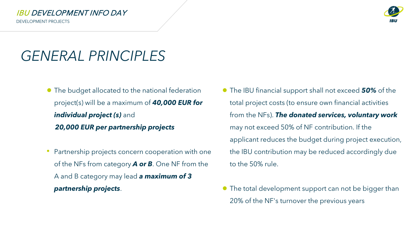### IBU DEVELOPMENT INFO DAY

- The budget allocated to the national federation project(s) will be a maximum of *40,000 EUR for individual project (s)* and *20,000 EUR per partnership projects*
- Partnership projects concern cooperation with one of the NFs from category *A or B*. One NF from the A and B category may lead *a maximum of 3 partnership projects*.

### *GENERAL PRINCIPLES*

### ● The IBU financial support shall not exceed *50%* of the total project costs (to ensure own financial activities from the NFs). *The donated services, voluntary work*  may not exceed 50% of NF contribution. If the applicant reduces the budget during project execution, the IBU contribution may be reduced accordingly due to the 50% rule.

● The total development support can not be bigger than 20% of the NF's turnover the previous years





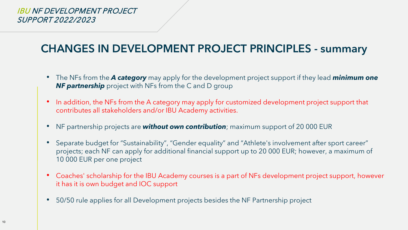### IBU NF DEVELOPMENT PROJECT SUPPORT 2022/2023

### **CHANGES IN DEVELOPMENT PROJECT PRINCIPLES - summary**

- The NFs from the *A category* may apply for the development project support if they lead *minimum one NF partnership* project with NFs from the C and D group
- In addition, the NFs from the A category may apply for customized development project support that contributes all stakeholders and/or IBU Academy activities.
- NF partnership projects are *without own contribution*; maximum support of 20 000 EUR
- Separate budget for "Sustainability", "Gender equality" and "Athlete's involvement after sport career" projects; each NF can apply for additional financial support up to 20 000 EUR; however, a maximum of 10 000 EUR per one project
- Coaches' scholarship for the IBU Academy courses is a part of NFs development project support, however it has it is own budget and IOC support
- 50/50 rule applies for all Development projects besides the NF Partnership project

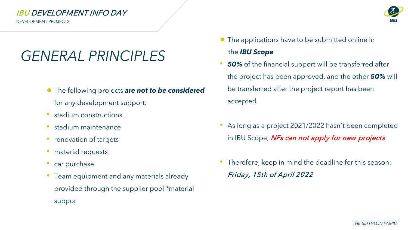









#### IBU DEVELOPMENT INFO DAY

- The following projects *are not to be considered* for any development support:
- stadium constructions
- stadium maintenance
- renovation of targets
- material requests
- car purchase
- Team equipment and any materials already provided through the supplier pool \*material suppor

### *GENERAL PRINCIPLES*

- The applications have to be submitted online in the *IBU Scope*
- *50%* of the financial support will be transferred after the project has been approved, and the other *50%* will be transferred after the project report has been accepted
	- As long as a project 2021/2022 hasn't been completed in IBU Scope, NFs can not apply for new projects
	- Therefore, keep in mind the deadline for this season: Friday, 15th of April 2022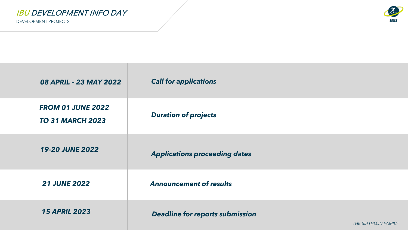*THE BIATHLON FAMILY*





*Deadline for reports submission* 

IBU DEVELOPMENT INFO DAY

| 08 APRIL - 23 MAY 2022                              | <b>Call for appl</b> |
|-----------------------------------------------------|----------------------|
| <b>FROM 01 JUNE 2022</b><br><b>TO 31 MARCH 2023</b> | <b>Duration of</b>   |
| <b>19-20 JUNE 2022</b>                              | <b>Applications</b>  |
| <b>21 JUNE 2022</b>                                 | <b>Announceme</b>    |
| <b>15 APRIL 2023</b>                                | <b>Deadline for</b>  |

#### *Call for applications*

#### *Duration of projects*

s proceeding dates

**2012** *<u>Announcement</u> of results 2023*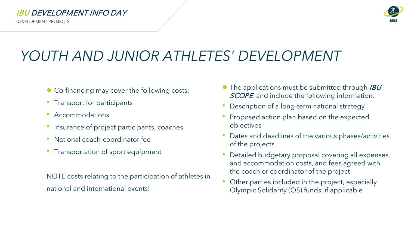#### IBU DEVELOPMENT INFO DAY

NOTE costs relating to the participation of athletes in national and international events!

## *YOUTH AND JUNIOR ATHLETES' DEVELOPMENT*

- Co-financing may cover the following costs:
- Transport for participants
- Accommodations
- Insurance of project participants, coaches
- National coach-coordinator fee
- Transportation of sport equipment
- $\bullet$  The applications must be submitted through *IBU* SCOPE and include the following information:
- Description of a long-term national strategy
- Proposed action plan based on the expected objectives
- Dates and deadlines of the various phases/activities of the projects
- Detailed budgetary proposal covering all expenses, and accommodation costs, and fees agreed with the coach or coordinator of the project
- Other parties included in the project, especially Olympic Solidarity (OS) funds, if applicable

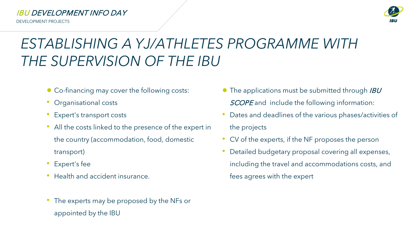#### IBU DEVELOPMENT INFO DAY

- Co-financing may cover the following costs:
- Organisational costs
- Expert's transport costs
- All the costs linked to the presence of the expert in the country (accommodation, food, domestic transport)
- Expert's fee
- Health and accident insurance.
- The experts may be proposed by the NFs or appointed by the IBU
- $\bullet$  The applications must be submitted through *IBU* SCOPE and include the following information:
- Dates and deadlines of the various phases/activities of

## *ESTABLISHING A YJ/ATHLETES PROGRAMME WITH THE SUPERVISION OF THE IBU*

### the projects

- CV of the experts, if the NF proposes the person
- Detailed budgetary proposal covering all expenses, including the travel and accommodations costs, and fees agrees with the expert

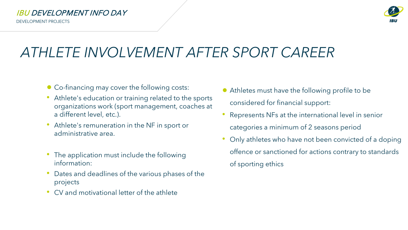#### IBU DEVELOPMENT INFO DAY

- Co-financing may cover the following costs:
- Athlete's education or training related to the sports organizations work (sport management, coaches at a different level, etc.).
- Athlete's remuneration in the NF in sport or administrative area.
- The application must include the following information:
- Dates and deadlines of the various phases of the projects
- CV and motivational letter of the athlete

- Athletes must have the following profile to be considered for financial support:
- Represents NFs at the international level in senior categories a minimum of 2 seasons period
- Only athletes who have not been convicted of a doping offence or sanctioned for actions contrary to standards of sporting ethics



## *ATHLETE INVOLVEMENT AFTER SPORT CAREER*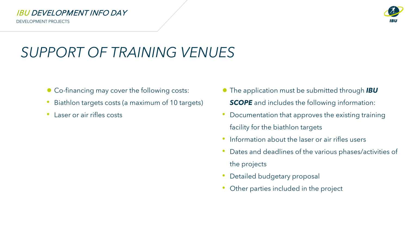#### IBU DEVELOPMENT INFO DAY

- Co-financing may cover the following costs:
- Biathlon targets costs (a maximum of 10 targets)
- Laser or air rifles costs

● The application must be submitted through *IBU*  **SCOPE** and includes the following information:

## *SUPPORT OF TRAINING VENUES*

- Documentation that approves the existing training facility for the biathlon targets
- Information about the laser or air rifles users
- Dates and deadlines of the various phases/activities of the projects
- Detailed budgetary proposal
- Other parties included in the project

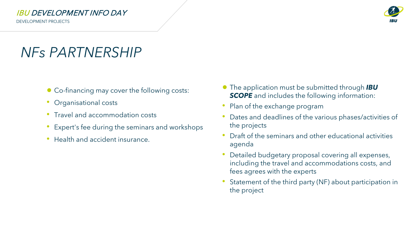#### IBU DEVELOPMENT INFO DAY

#### ● The application must be submitted through *IBU*  **SCOPE** and includes the following information:

- Co-financing may cover the following costs:
- Organisational costs
- Travel and accommodation costs
- Expert's fee during the seminars and workshops
- Health and accident insurance.

### *NFs PARTNERSHIP*

- Plan of the exchange program
- Dates and deadlines of the various phases/activities of the projects
- Draft of the seminars and other educational activities agenda
- Detailed budgetary proposal covering all expenses, including the travel and accommodations costs, and fees agrees with the experts
- Statement of the third party (NF) about participation in the project

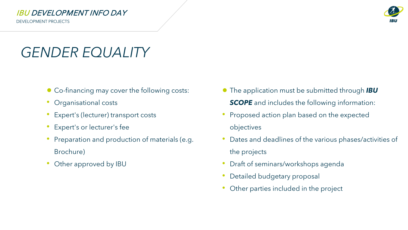#### IBU DEVELOPMENT INFO DAY

### *GENDER EQUALITY*

- Co-financing may cover the following costs:
- Organisational costs
- Expert's (lecturer) transport costs
- Expert's or lecturer's fee
- Preparation and production of materials (e.g. Brochure)
- Other approved by IBU
- The application must be submitted through *IBU*  **SCOPE** and includes the following information:
- Proposed action plan based on the expected objectives
- Dates and deadlines of the various phases/activities of the projects
- Draft of seminars/workshops agenda
- Detailed budgetary proposal
- Other parties included in the project

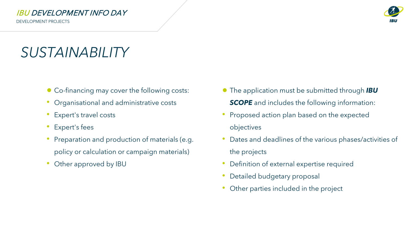#### IBU DEVELOPMENT INFO DAY

### *SUSTAINABILITY*

- Co-financing may cover the following costs:
- Organisational and administrative costs
- Expert's travel costs
- Expert's fees
- Preparation and production of materials (e.g. policy or calculation or campaign materials)
- Other approved by IBU
- The application must be submitted through *IBU*  **SCOPE** and includes the following information:
- Proposed action plan based on the expected objectives
- Dates and deadlines of the various phases/activities of the projects
- Definition of external expertise required
- Detailed budgetary proposal
- Other parties included in the project

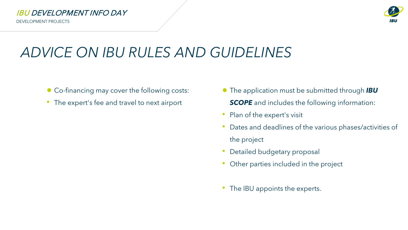#### IBU DEVELOPMENT INFO DAY

- Co-financing may cover the following costs:
- The expert's fee and travel to next airport
- The application must be submitted through *IBU*  **SCOPE** and includes the following information:
- Plan of the expert's visit
- Dates and deadlines of the various phases/activities of the project
- Detailed budgetary proposal
- Other parties included in the project
- The IBU appoints the experts.





### *ADVICE ON IBU RULES AND GUIDELINES*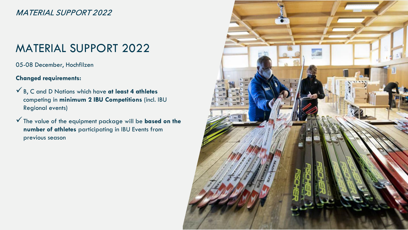MATERIAL SUPPORT 2022

### MATERIAL SUPPORT 2022

05-08 December, Hochfilzen

**Changed requirements:** 

- B, C and D Nations which have **at least 4 athletes** competing in **minimum 2 IBU Competitions** (incl. IBU Regional events)
- The value of the equipment package will be **based on the number of athletes** participating in IBU Events from previous season

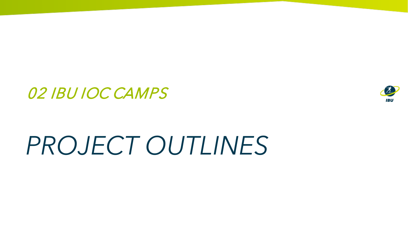# *PROJECT OUTLINES*



### 02 IBU IOC CAMPS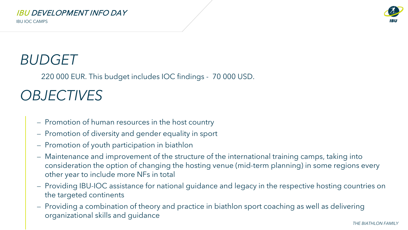

#### IBU DEVELOPMENT INFO DAY

### *BUDGET*

IBU IOC CAMPS

- ⎼ Promotion of human resources in the host country
- ⎼ Promotion of diversity and gender equality in sport
- ⎼ Promotion of youth participation in biathlon
- ⎼ Maintenance and improvement of the structure of the international training camps, taking into consideration the option of changing the hosting venue (mid-term planning) in some regions every other year to include more NFs in total
- ⎼ Providing IBU-IOC assistance for national guidance and legacy in the respective hosting countries on the targeted continents
- ⎼ Providing a combination of theory and practice in biathlon sport coaching as well as delivering organizational skills and guidance

### *OBJECTIVES*

220 000 EUR. This budget includes IOC findings - 70 000 USD.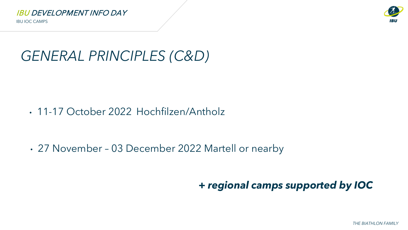IBU IOC CAMPS

*THE BIATHLON FAMILY*





## *GENERAL PRINCIPLES (C&D)*

• 11-17 October 2022 Hochfilzen/Antholz

• 27 November – 03 December 2022 Martell or nearby

*+ regional camps supported by IOC*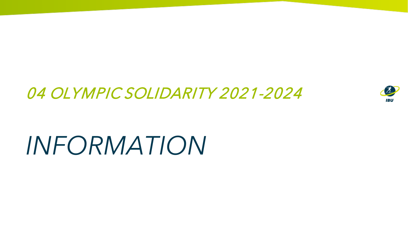# *INFORMATION*





### 04 OLYMPIC SOLIDARITY 2021-2024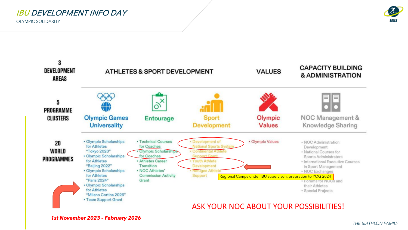*THE BIATHLON FAMILY*



#### IBU DEVELOPMENT INFO DAY

OLYMPIC SOLIDARITY

### ASK YOUR NOC ABOUT YOUR POSSIBILITIES!

*1st November 2023 – February 2026*

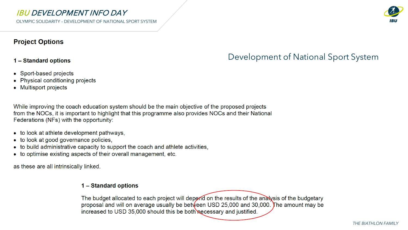OLYMPIC SOLIDARITY – DEVELOPMENT OF NATIONAL SPORT SYSTEM

#### **Project Options**

#### 1 – Standard options

- Sport-based projects
- Physical conditioning projects
- Multisport projects

While improving the coach education system should be the main objective of the proposed projects from the NOCs, it is important to highlight that this programme also provides NOCs and their National Federations (NFs) with the opportunity:

- to look at athlete development pathways,
- look at good governance policies, to
- to build administrative capacity to support the coach and athlete activities,
- to optimise existing aspects of their overall management, etc.

as these are all intrinsically linked.

#### 1 – Standard options

The budget allocated to each project will depend on the results of the analysis of the budgetary proposal and will on average usually be between USD 25,000 and 30,000. The amount may be increased to USD 35,000 should this be both necessary and justified.

*THE BIATHLON FAMILY*



### IBU DEVELOPMENT INFO DAY

### Development of National Sport System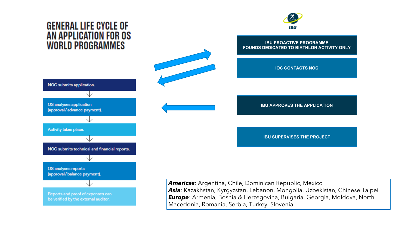### **GENERAL LIFE CYCLE OF** AN APPLICATION FOR OS **WORLD PROGRAMMES**





#### **IBU PROACTIVE PROGRAMME FOUNDS DEDICATED TO BIATHLON ACTIVITY ONLY**

**IOC CONTACTS NOC** 

**IBU APPROVES THE APPLICATION** 

**IBU SUPERVISES THE PROJECT**

*Americas*: Argentina, Chile, Dominican Republic, Mexico *Asia*: Kazakhstan, Kyrgyzstan, Lebanon, Mongolia, Uzbekistan, Chinese Taipei *Europe*: Armenia, Bosnia & Herzegovina, Bulgaria, Georgia, Moldova, North Macedonia, Romania, Serbia, Turkey, Slovenia

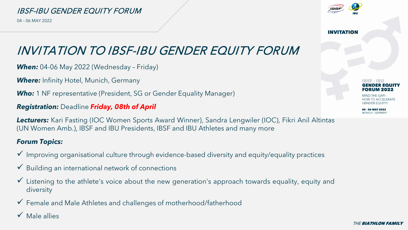





#### IBSF-IBU GENDER EQUITY FORUM

04 – 06 MAY 2022

### INVITATION TO IBSF-IBU GENDER EQUITY FORUM

*When:* 04-06 May 2022 (Wednesday – Friday)

*Where:* Infinity Hotel, Munich, Germany

*Who:* 1 NF representative (President, SG or Gender Equality Manager)

*Registration:* Deadline *Friday, 08th of April*

*Lecturers:* Kari Fasting (IOC Women Sports Award Winner), Sandra Lengwiler (IOC), Fikri Anil Altintas (UN Women Amb.), IBSF and IBU Presidents, IBSF and IBU Athletes and many more

#### *Forum Topics:*

- Improving organisational culture through evidence-based diversity and equity/equality practices
- Building an international network of connections
- Listening to the athlete's voice about the new generation's approach towards equality, equity and diversity

Female and Male Athletes and challenges of motherhood/fatherhood

 $\checkmark$  Male allies



**INVITATION** 



GENDER EQUITY.